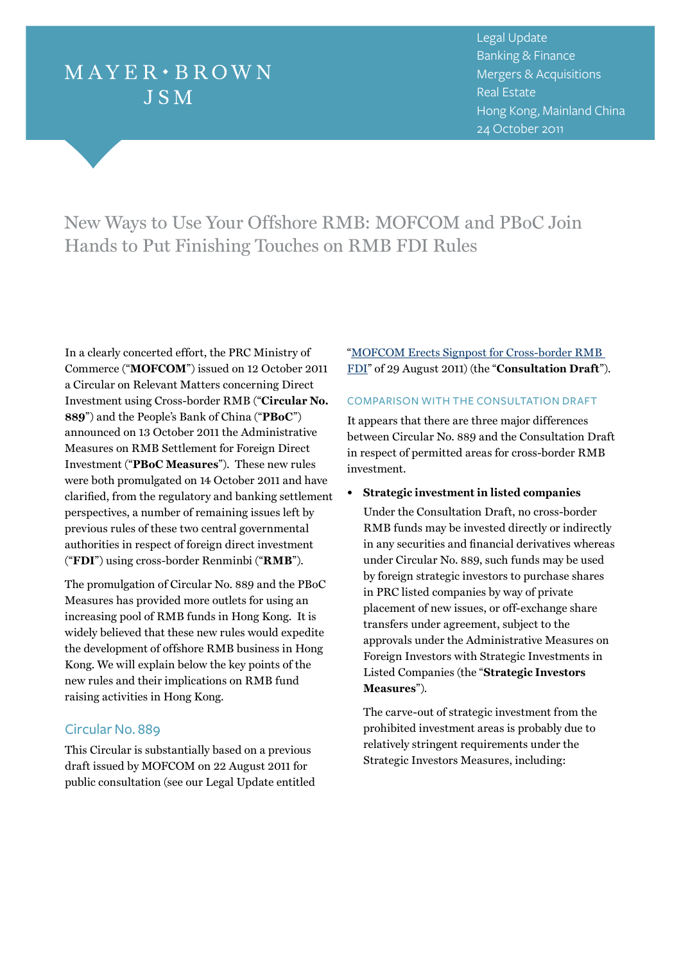# $M$  AY E R  $\cdot$  B R O W N **JSM**

<sup>3</sup> Legal Update Banking & Finance Mergers & Acquisitions Real Estate Hong Kong, Mainland China 24 October 2011

New Ways to Use Your Offshore RMB: MOFCOM and PBoC Join Hands to Put Finishing Touches on RMB FDI Rules

In a clearly concerted effort, the PRC Ministry of Commerce ("**MOFCOM**") issued on 12 October 2011 a Circular on Relevant Matters concerning Direct Investment using Cross-border RMB ("**Circular No. 889**") and the People's Bank of China ("**PBoC**") announced on 13 October 2011 the Administrative Measures on RMB Settlement for Foreign Direct Investment ("**PBoC Measures**"). These new rules were both promulgated on 14 October 2011 and have clarified, from the regulatory and banking settlement perspectives, a number of remaining issues left by previous rules of these two central governmental authorities in respect of foreign direct investment ("**FDI**") using cross-border Renminbi ("**RMB**").

The promulgation of Circular No. 889 and the PBoC Measures has provided more outlets for using an increasing pool of RMB funds in Hong Kong. It is widely believed that these new rules would expedite the development of offshore RMB business in Hong Kong. We will explain below the key points of the new rules and their implications on RMB fund raising activities in Hong Kong.

# Circular No. 889

This Circular is substantially based on a previous draft issued by MOFCOM on 22 August 2011 for public consultation (see our Legal Update entitled ["MOFCOM Erects Signpost for Cross-border RMB](http://www.mayerbrown.com/publications/article.asp?id=11470&nid=6)  [FDI](http://www.mayerbrown.com/publications/article.asp?id=11470&nid=6)" of 29 August 2011) (the "**Consultation Draft**").

# COMPARISON WITH THE CONSULTATION DRAFT

It appears that there are three major differences between Circular No. 889 and the Consultation Draft in respect of permitted areas for cross-border RMB investment.

**• Strategic investment in listed companies**

Under the Consultation Draft, no cross-border RMB funds may be invested directly or indirectly in any securities and financial derivatives whereas under Circular No. 889, such funds may be used by foreign strategic investors to purchase shares in PRC listed companies by way of private placement of new issues, or off-exchange share transfers under agreement, subject to the approvals under the Administrative Measures on Foreign Investors with Strategic Investments in Listed Companies (the "**Strategic Investors Measures**").

The carve-out of strategic investment from the prohibited investment areas is probably due to relatively stringent requirements under the Strategic Investors Measures, including: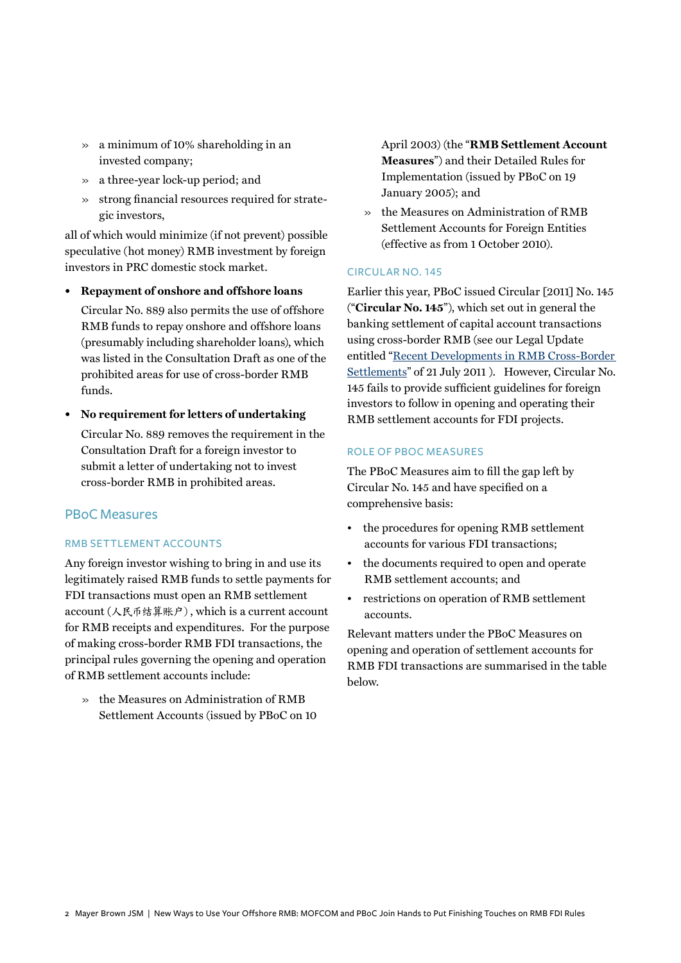- » a minimum of 10% shareholding in an invested company;
- » a three-year lock-up period; and
- » strong financial resources required for strategic investors,

all of which would minimize (if not prevent) possible speculative (hot money) RMB investment by foreign investors in PRC domestic stock market.

**• Repayment of onshore and offshore loans**

Circular No. 889 also permits the use of offshore RMB funds to repay onshore and offshore loans (presumably including shareholder loans), which was listed in the Consultation Draft as one of the prohibited areas for use of cross-border RMB funds.

**• No requirement for letters of undertaking**

Circular No. 889 removes the requirement in the Consultation Draft for a foreign investor to submit a letter of undertaking not to invest cross-border RMB in prohibited areas.

## **PBoC Measures**

#### RMB settlement accounts

Any foreign investor wishing to bring in and use its legitimately raised RMB funds to settle payments for FDI transactions must open an RMB settlement account (人民币结算账户), which is a current account for RMB receipts and expenditures. For the purpose of making cross-border RMB FDI transactions, the principal rules governing the opening and operation of RMB settlement accounts include:

» the Measures on Administration of RMB Settlement Accounts (issued by PBoC on 10 April 2003) (the "**RMB Settlement Account Measures**") and their Detailed Rules for Implementation (issued by PBoC on 19 January 2005); and

» the Measures on Administration of RMB Settlement Accounts for Foreign Entities (effective as from 1 October 2010).

#### Circul ar No. 145

Earlier this year, PBoC issued Circular [2011] No. 145 ("**Circular No. 145**"), which set out in general the banking settlement of capital account transactions using cross-border RMB (see our Legal Update entitled ["Recent Developments in RMB Cross-Border](http://www.mayerbrown.com/publications/article.asp?id=11322&nid=6)  [Settlements"](http://www.mayerbrown.com/publications/article.asp?id=11322&nid=6) of 21 July 2011 ). However, Circular No. 145 fails to provide sufficient guidelines for foreign investors to follow in opening and operating their RMB settlement accounts for FDI projects.

#### Role of PBoC Measures

The PBoC Measures aim to fill the gap left by Circular No. 145 and have specified on a comprehensive basis:

- the procedures for opening RMB settlement accounts for various FDI transactions;
- the documents required to open and operate RMB settlement accounts; and
- restrictions on operation of RMB settlement accounts.

Relevant matters under the PBoC Measures on opening and operation of settlement accounts for RMB FDI transactions are summarised in the table below.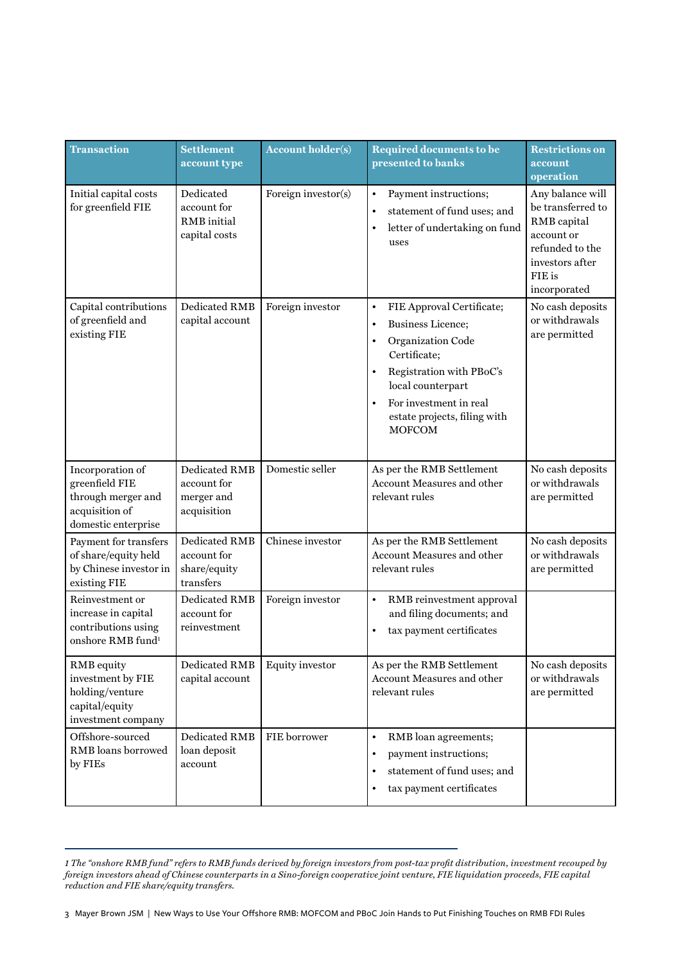| <b>Transaction</b>                                                                                | <b>Settlement</b><br>account type                                | <b>Account holder(s)</b> | <b>Required documents to be</b><br>presented to banks                                                                                                                                                                                                                      | <b>Restrictions on</b><br>account<br>operation                                                                                     |
|---------------------------------------------------------------------------------------------------|------------------------------------------------------------------|--------------------------|----------------------------------------------------------------------------------------------------------------------------------------------------------------------------------------------------------------------------------------------------------------------------|------------------------------------------------------------------------------------------------------------------------------------|
| Initial capital costs<br>for greenfield FIE                                                       | Dedicated<br>account for<br>RMB initial<br>capital costs         | Foreign investor(s)      | Payment instructions;<br>٠<br>statement of fund uses; and<br>$\bullet$<br>letter of undertaking on fund<br>uses                                                                                                                                                            | Any balance will<br>be transferred to<br>RMB capital<br>account or<br>refunded to the<br>investors after<br>FIE is<br>incorporated |
| Capital contributions<br>of greenfield and<br>existing FIE                                        | Dedicated RMB<br>capital account                                 | Foreign investor         | FIE Approval Certificate;<br>$\bullet$<br><b>Business Licence;</b><br>$\bullet$<br>Organization Code<br>$\bullet$<br>Certificate;<br>Registration with PBoC's<br>local counterpart<br>For investment in real<br>$\bullet$<br>estate projects, filing with<br><b>MOFCOM</b> | No cash deposits<br>or withdrawals<br>are permitted                                                                                |
| Incorporation of<br>greenfield FIE<br>through merger and<br>acquisition of<br>domestic enterprise | Dedicated RMB<br>account for<br>merger and<br>acquisition        | Domestic seller          | As per the RMB Settlement<br>Account Measures and other<br>relevant rules                                                                                                                                                                                                  | No cash deposits<br>or withdrawals<br>are permitted                                                                                |
| Payment for transfers<br>of share/equity held<br>by Chinese investor in<br>existing FIE           | <b>Dedicated RMB</b><br>account for<br>share/equity<br>transfers | Chinese investor         | As per the RMB Settlement<br>Account Measures and other<br>relevant rules                                                                                                                                                                                                  | No cash deposits<br>or withdrawals<br>are permitted                                                                                |
| Reinvestment or<br>increase in capital<br>contributions using<br>onshore RMB fund <sup>1</sup>    | Dedicated RMB<br>account for<br>reinvestment                     | Foreign investor         | $\bullet$<br>RMB reinvestment approval<br>and filing documents; and<br>tax payment certificates                                                                                                                                                                            |                                                                                                                                    |
| <b>RMB</b> equity<br>investment by FIE<br>holding/venture<br>capital/equity<br>investment company | Dedicated RMB<br>capital account                                 | Equity investor          | As per the RMB Settlement<br>Account Measures and other<br>relevant rules                                                                                                                                                                                                  | No cash deposits<br>or withdrawals<br>are permitted                                                                                |
| Offshore-sourced<br>RMB loans borrowed<br>by FIEs                                                 | Dedicated RMB<br>loan deposit<br>account                         | FIE borrower             | RMB loan agreements;<br>$\bullet$<br>payment instructions;<br>statement of fund uses; and<br>$\bullet$<br>tax payment certificates                                                                                                                                         |                                                                                                                                    |

*1 The "onshore RMB fund" refers to RMB funds derived by foreign investors from post-tax profit distribution, investment recouped by foreign investors ahead of Chinese counterparts in a Sino-foreign cooperative joint venture, FIE liquidation proceeds, FIE capital reduction and FIE share/equity transfers.*

3 Mayer Brown JSM | New Ways to Use Your Offshore RMB: MOFCOM and PBoC Join Hands to Put Finishing Touches on RMB FDI Rules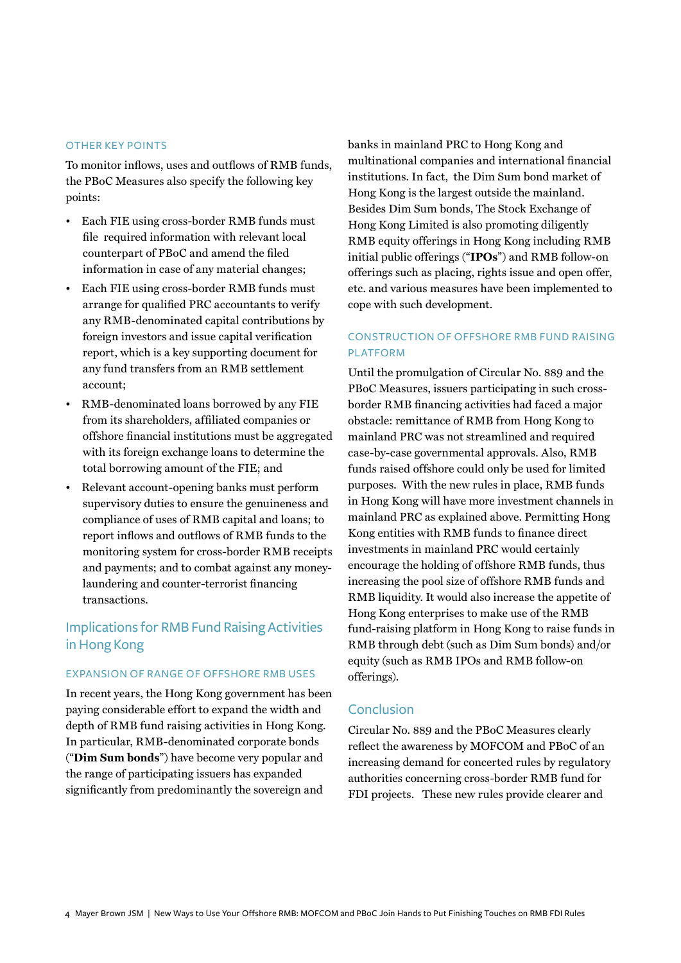#### Other key points

To monitor inflows, uses and outflows of RMB funds, the PBoC Measures also specify the following key points:

- Each FIE using cross-border RMB funds must file required information with relevant local counterpart of PBoC and amend the filed information in case of any material changes;
- Each FIE using cross-border RMB funds must arrange for qualified PRC accountants to verify any RMB-denominated capital contributions by foreign investors and issue capital verification report, which is a key supporting document for any fund transfers from an RMB settlement account;
- RMB-denominated loans borrowed by any FIE from its shareholders, affiliated companies or offshore financial institutions must be aggregated with its foreign exchange loans to determine the total borrowing amount of the FIE; and
- Relevant account-opening banks must perform supervisory duties to ensure the genuineness and compliance of uses of RMB capital and loans; to report inflows and outflows of RMB funds to the monitoring system for cross-border RMB receipts and payments; and to combat against any moneylaundering and counter-terrorist financing transactions.

# Implications for RMB Fund Raising Activities in Hong Kong

#### EXPANSION OF RANGE OF OFFSHORE RMB USES

In recent years, the Hong Kong government has been paying considerable effort to expand the width and depth of RMB fund raising activities in Hong Kong. In particular, RMB-denominated corporate bonds ("**Dim Sum bonds**") have become very popular and the range of participating issuers has expanded significantly from predominantly the sovereign and

banks in mainland PRC to Hong Kong and multinational companies and international financial institutions. In fact, the Dim Sum bond market of Hong Kong is the largest outside the mainland. Besides Dim Sum bonds, The Stock Exchange of Hong Kong Limited is also promoting diligently RMB equity offerings in Hong Kong including RMB initial public offerings ("**IPOs**") and RMB follow-on offerings such as placing, rights issue and open offer, etc. and various measures have been implemented to cope with such development.

# Construction of offshore RMB fund r aising **PLATFORM**

Until the promulgation of Circular No. 889 and the PBoC Measures, issuers participating in such crossborder RMB financing activities had faced a major obstacle: remittance of RMB from Hong Kong to mainland PRC was not streamlined and required case-by-case governmental approvals. Also, RMB funds raised offshore could only be used for limited purposes. With the new rules in place, RMB funds in Hong Kong will have more investment channels in mainland PRC as explained above. Permitting Hong Kong entities with RMB funds to finance direct investments in mainland PRC would certainly encourage the holding of offshore RMB funds, thus increasing the pool size of offshore RMB funds and RMB liquidity. It would also increase the appetite of Hong Kong enterprises to make use of the RMB fund-raising platform in Hong Kong to raise funds in RMB through debt (such as Dim Sum bonds) and/or equity (such as RMB IPOs and RMB follow-on offerings).

# Conclusion

Circular No. 889 and the PBoC Measures clearly reflect the awareness by MOFCOM and PBoC of an increasing demand for concerted rules by regulatory authorities concerning cross-border RMB fund for FDI projects. These new rules provide clearer and